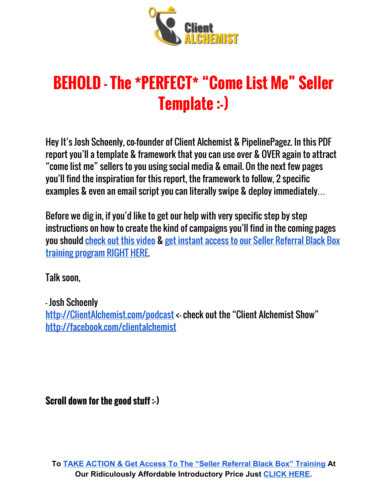

# **BEHOLD - The \*PERFECT\* "Come List Me" Seller Template :-)**

Hey It's Josh Schoenly, co-founder of Client Alchemist & PipelinePagez. In this PDF report you'll a template & framework that you can use over & OVER again to attract "come list me" sellers to you using social media & email. On the next few pages you'll find the inspiration for this report, the framework to follow, 2 specific examples & even an email script you can literally swipe & deploy immediately…

Before we dig in, if you'd like to get our help with very specific step by step instructions on how to create the kind of campaigns you'll find in the coming pages you should [check](https://joshschoenly.clickfunnels.com/order-srbbitaNxVcH) out this video & get instant access to our Seller [Referral](https://joshschoenly.clickfunnels.com/order-srbbitaNxVcH) Black Box training [program](https://joshschoenly.clickfunnels.com/order-srbbitaNxVcH) RIGHT HERE.

Talk soon,

- Josh Schoenly [http://ClientAlchemist.com/podcast](http://clientalchemist.com/podcast) <- check out the "Client Alchemist Show" <http://facebook.com/clientalchemist>

**Scroll down for the good stuff :-)**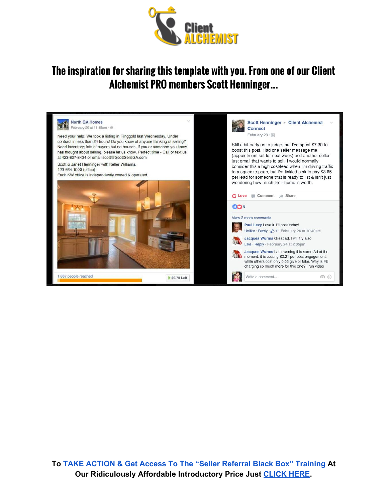

#### **The inspiration for sharing this template with you. From one of our Client Alchemist PRO members Scott Henninger...**

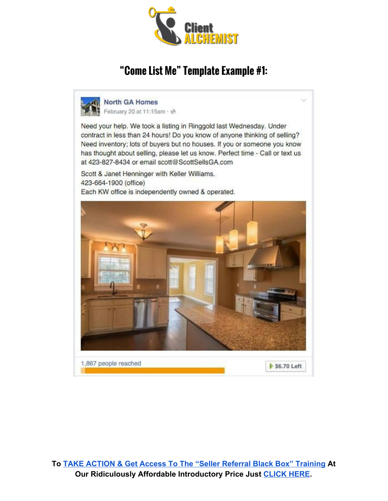

### **"Come List Me" Template Example #1:**



**North GA Homes** 

February 20 at 11:15am · @

Need your help. We took a listing in Ringgold last Wednesday. Under contract in less than 24 hours! Do you know of anyone thinking of selling? Need inventory; lots of buyers but no houses. If you or someone you know has thought about selling, please let us know. Perfect time - Call or text us at 423-827-8434 or email scott@ScottSellsGA.com

Scott & Janet Henninger with Keller Williams. 423-664-1900 (office) Each KW office is independently owned & operated.

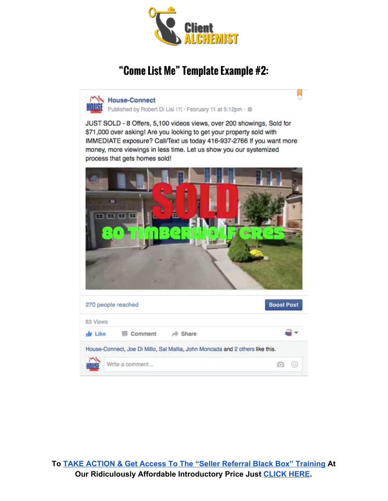

## **"Come List Me" Template Example #2:**

M House-Connect

 $\overline{\phantom{a}}$ 

| Published by Robert Di Lisi [?] · February 11 at 5:12pm · ※                                                                                                                                                                                                                                                                 |                   |
|-----------------------------------------------------------------------------------------------------------------------------------------------------------------------------------------------------------------------------------------------------------------------------------------------------------------------------|-------------------|
| JUST SOLD - 8 Offers, 5,100 videos views, over 200 showings, Sold for<br>\$71,000 over asking! Are you looking to get your property sold with<br>IMMEDIATE exposure? Call/Text us today 416-937-2766 If you want more<br>money, more viewings in less time. Let us show you our systemized<br>process that gets homes sold! |                   |
| <b>BE BE BE BE</b>                                                                                                                                                                                                                                                                                                          |                   |
| 270 people reached                                                                                                                                                                                                                                                                                                          | <b>Boost Post</b> |
| 83 Views                                                                                                                                                                                                                                                                                                                    |                   |
| $\frac{1}{2}$ Like<br>Comment<br>Share                                                                                                                                                                                                                                                                                      |                   |
| House-Connect, Joe Di Millo, Sal Mallia, John Moncada and 2 others like this.                                                                                                                                                                                                                                               |                   |
|                                                                                                                                                                                                                                                                                                                             |                   |
| Write a comment                                                                                                                                                                                                                                                                                                             | u<br>Кo           |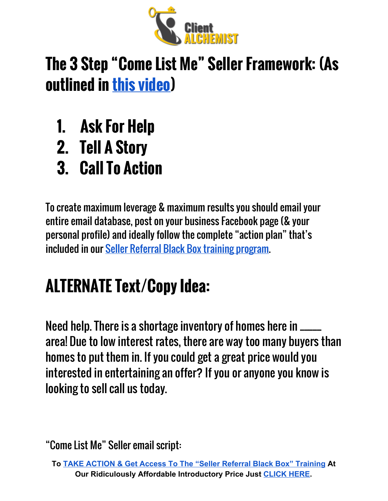

# **The 3 Step "Come List Me" Seller Framework: (As outlined in this [video](https://joshschoenly.clickfunnels.com/srbb-special))**

- **1. Ask For Help**
- **2. Tell A Story**
- **3. Call To Action**

To create maximum leverage & maximum results you should email your entire email database, post on your business Facebook page (& your personal profile) and ideally follow the complete "action plan" that's included in our Seller Referral Black Box training [program.](https://joshschoenly.clickfunnels.com/order-srbbitaNxVcH)

# **ALTERNATE Text/Copy Idea:**

Need help. There is a shortage inventory of homes here in \_\_\_\_\_ area! Due to low interest rates, there are way too many buyers than homes to put them in. If you could get a great price would you interested in entertaining an offer? If you or anyone you know is looking to sell call us today.

**To TAKE ACTION & Get Access To The "Seller Referral Black Box" [Training](https://joshschoenly.clickfunnels.com/order-srbbitaNxVcH)At Our Ridiculously Affordable Introductory Price Just [CLICK](https://joshschoenly.clickfunnels.com/order-srbbitaNxVcH) HERE.**

<sup>&</sup>quot;Come List Me" Seller email script: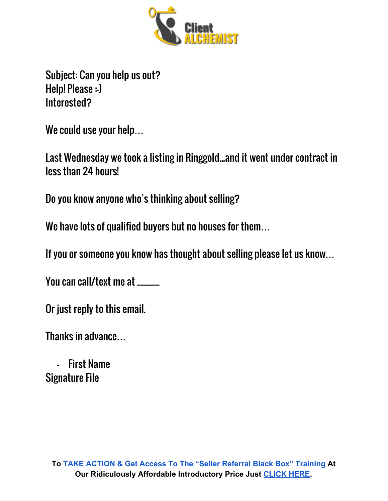

Subject: Can you help us out? Help! Please :-) Interested?

We could use your help…

Last Wednesday we took a listing in Ringgold...and it went under contract in less than 24 hours!

Do you know anyone who's thinking about selling?

We have lots of qualified buyers but no houses for them…

If you or someone you know has thought about selling please let us know…

You can call/text me at \_\_\_\_\_\_

Or just reply to this email.

Thanks in advance…

- First Name Signature File